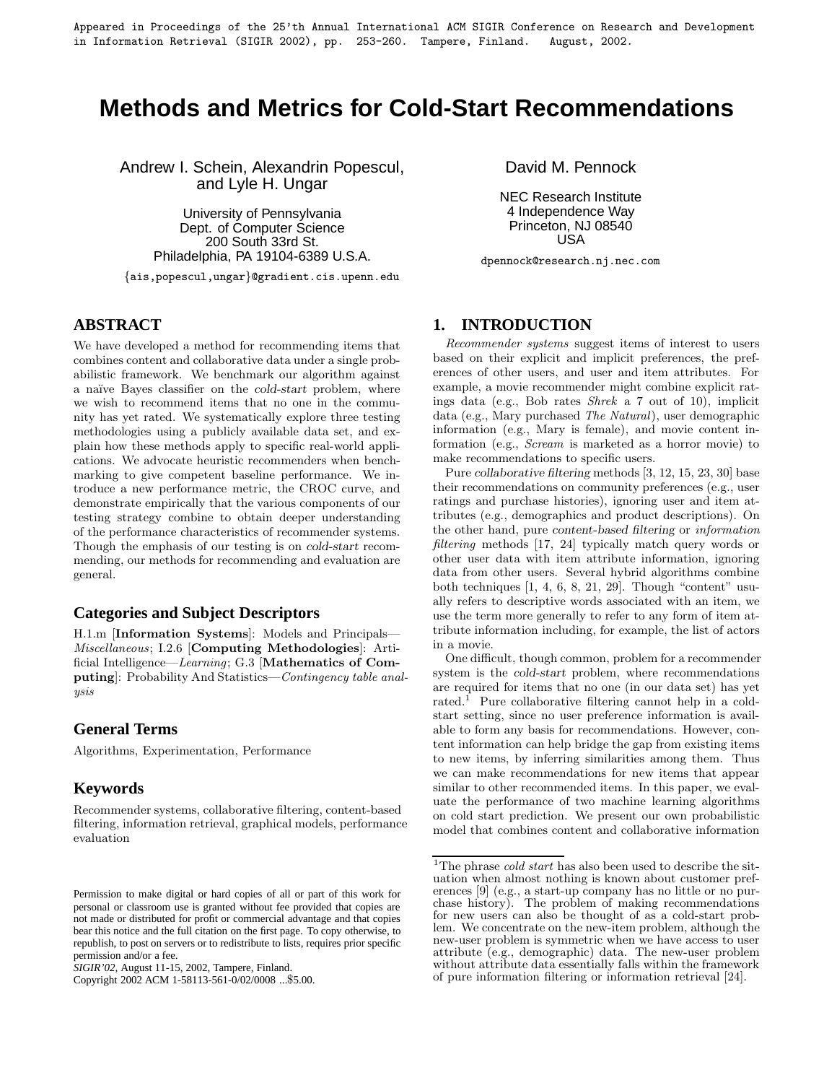Appeared in Proceedings of the 25'th Annual International ACM SIGIR Conference on Research and Development in Information Retrieval (SIGIR 2002), pp. 253-260. Tampere, Finland. August, 2002.

# **Methods and Metrics for Cold-Start Recommendations**

Andrew I. Schein, Alexandrin Popescul, and Lyle H. Ungar

> University of Pennsylvania Dept. of Computer Science 200 South 33rd St. Philadelphia, PA 19104-6389 U.S.A.

{ais,popescul,ungar}@gradient.cis.upenn.edu

### **ABSTRACT**

We have developed a method for recommending items that combines content and collaborative data under a single probabilistic framework. We benchmark our algorithm against a na¨ıve Bayes classifier on the *cold-start* problem, where we wish to recommend items that no one in the community has yet rated. We systematically explore three testing methodologies using a publicly available data set, and explain how these methods apply to specific real-world applications. We advocate heuristic recommenders when benchmarking to give competent baseline performance. We introduce a new performance metric, the CROC curve, and demonstrate empirically that the various components of our testing strategy combine to obtain deeper understanding of the performance characteristics of recommender systems. Though the emphasis of our testing is on *cold-start* recommending, our methods for recommending and evaluation are general.

### **Categories and Subject Descriptors**

H.1.m [**Information Systems**]: Models and Principals— Miscellaneous; I.2.6 [**Computing Methodologies**]: Artificial Intelligence—Learning; G.3 [**Mathematics of Computing**]: Probability And Statistics—Contingency table analysis

### **General Terms**

Algorithms, Experimentation, Performance

### **Keywords**

Recommender systems, collaborative filtering, content-based filtering, information retrieval, graphical models, performance evaluation

Copyright 2002 ACM 1-58113-561-0/02/0008 ...\$5.00.

David M. Pennock

NEC Research Institute 4 Independence Way Princeton, NJ 08540 USA

dpennock@research.nj.nec.com

### **1. INTRODUCTION**

Recommender systems suggest items of interest to users based on their explicit and implicit preferences, the preferences of other users, and user and item attributes. For example, a movie recommender might combine explicit ratings data (e.g., Bob rates Shrek a 7 out of 10), implicit data (e.g., Mary purchased The Natural), user demographic information (e.g., Mary is female), and movie content information (e.g., Scream is marketed as a horror movie) to make recommendations to specific users.

Pure *collaborative filtering* methods [3, 12, 15, 23, 30] base their recommendations on community preferences (e.g., user ratings and purchase histories), ignoring user and item attributes (e.g., demographics and product descriptions). On the other hand, pure *content-based filtering* or information filtering methods [17, 24] typically match query words or other user data with item attribute information, ignoring data from other users. Several hybrid algorithms combine both techniques [1, 4, 6, 8, 21, 29]. Though "content" usually refers to descriptive words associated with an item, we use the term more generally to refer to any form of item attribute information including, for example, the list of actors in a movie.

One difficult, though common, problem for a recommender system is the *cold-start* problem, where recommendations are required for items that no one (in our data set) has yet rated.<sup>1</sup> Pure collaborative filtering cannot help in a coldstart setting, since no user preference information is available to form any basis for recommendations. However, content information can help bridge the gap from existing items to new items, by inferring similarities among them. Thus we can make recommendations for new items that appear similar to other recommended items. In this paper, we evaluate the performance of two machine learning algorithms on cold start prediction. We present our own probabilistic model that combines content and collaborative information

Permission to make digital or hard copies of all or part of this work for personal or classroom use is granted without fee provided that copies are not made or distributed for profit or commercial advantage and that copies bear this notice and the full citation on the first page. To copy otherwise, to republish, to post on servers or to redistribute to lists, requires prior specific permission and/or a fee.

*SIGIR'02,* August 11-15, 2002, Tampere, Finland.

<sup>&</sup>lt;sup>1</sup>The phrase *cold start* has also been used to describe the situation when almost nothing is known about customer preferences [9] (e.g., a start-up company has no little or no purchase history). The problem of making recommendations for new users can also be thought of as a cold-start problem. We concentrate on the new-item problem, although the new-user problem is symmetric when we have access to user attribute (e.g., demographic) data. The new-user problem without attribute data essentially falls within the framework of pure information filtering or information retrieval [24].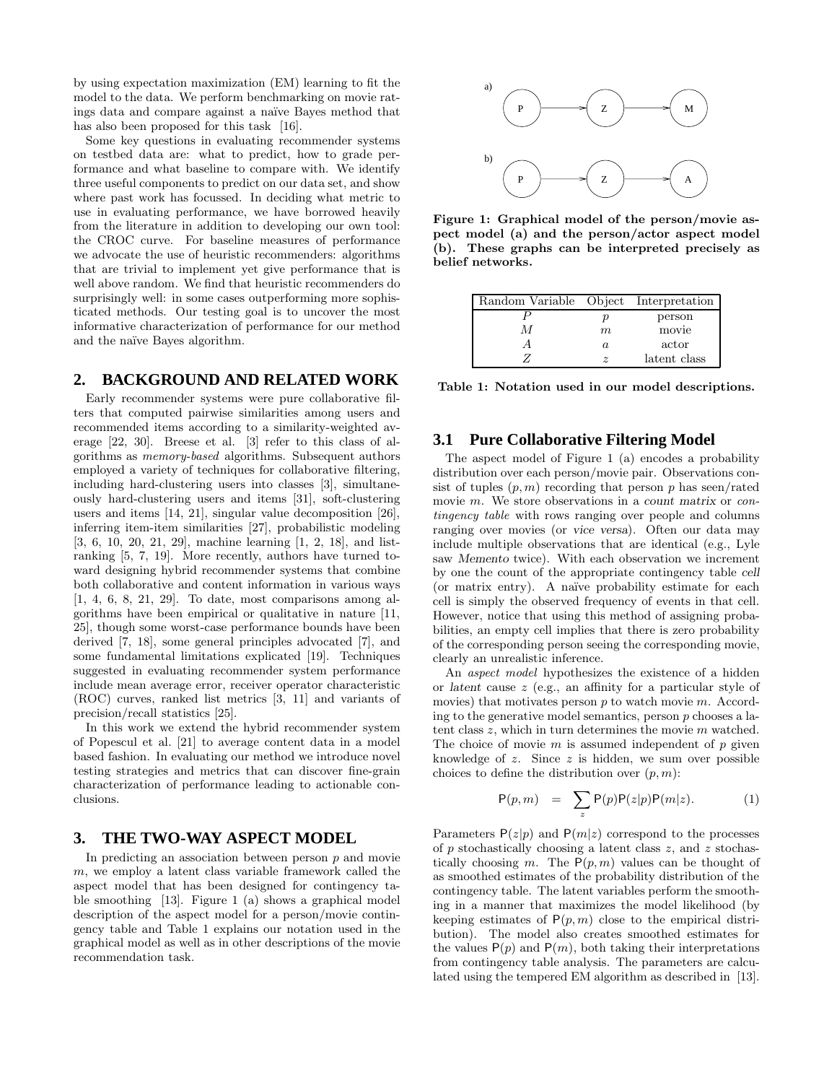by using expectation maximization (EM) learning to fit the model to the data. We perform benchmarking on movie ratings data and compare against a na¨ıve Bayes method that has also been proposed for this task [16].

Some key questions in evaluating recommender systems on testbed data are: what to predict, how to grade performance and what baseline to compare with. We identify three useful components to predict on our data set, and show where past work has focussed. In deciding what metric to use in evaluating performance, we have borrowed heavily from the literature in addition to developing our own tool: the CROC curve. For baseline measures of performance we advocate the use of heuristic recommenders: algorithms that are trivial to implement yet give performance that is well above random. We find that heuristic recommenders do surprisingly well: in some cases outperforming more sophisticated methods. Our testing goal is to uncover the most informative characterization of performance for our method and the naïve Bayes algorithm.

### **2. BACKGROUND AND RELATED WORK**

Early recommender systems were pure collaborative filters that computed pairwise similarities among users and recommended items according to a similarity-weighted average [22, 30]. Breese et al. [3] refer to this class of algorithms as memory-based algorithms. Subsequent authors employed a variety of techniques for collaborative filtering, including hard-clustering users into classes [3], simultaneously hard-clustering users and items [31], soft-clustering users and items [14, 21], singular value decomposition [26], inferring item-item similarities [27], probabilistic modeling [3, 6, 10, 20, 21, 29], machine learning [1, 2, 18], and listranking [5, 7, 19]. More recently, authors have turned toward designing hybrid recommender systems that combine both collaborative and content information in various ways [1, 4, 6, 8, 21, 29]. To date, most comparisons among algorithms have been empirical or qualitative in nature [11, 25], though some worst-case performance bounds have been derived [7, 18], some general principles advocated [7], and some fundamental limitations explicated [19]. Techniques suggested in evaluating recommender system performance include mean average error, receiver operator characteristic (ROC) curves, ranked list metrics [3, 11] and variants of precision/recall statistics [25].

In this work we extend the hybrid recommender system of Popescul et al. [21] to average content data in a model based fashion. In evaluating our method we introduce novel testing strategies and metrics that can discover fine-grain characterization of performance leading to actionable conclusions.

### **3. THE TWO-WAY ASPECT MODEL**

In predicting an association between person  $p$  and movie  $m$ , we employ a latent class variable framework called the aspect model that has been designed for contingency table smoothing [13]. Figure 1 (a) shows a graphical model description of the aspect model for a person/movie contingency table and Table 1 explains our notation used in the graphical model as well as in other descriptions of the movie recommendation task.



**Figure 1: Graphical model of the person/movie aspect model (a) and the person/actor aspect model (b). These graphs can be interpreted precisely as belief networks.**

| Random Variable Object Interpretation |                       |              |
|---------------------------------------|-----------------------|--------------|
|                                       | р                     | person       |
| М                                     | m                     | movie        |
|                                       | $\alpha$              | actor        |
|                                       | $\tilde{\mathcal{Z}}$ | latent class |

**Table 1: Notation used in our model descriptions.**

#### **3.1 Pure Collaborative Filtering Model**

The aspect model of Figure 1 (a) encodes a probability distribution over each person/movie pair. Observations consist of tuples  $(p, m)$  recording that person p has seen/rated movie m. We store observations in a *count matrix* or *con*tingency table with rows ranging over people and columns ranging over movies (or *vice versa*). Often our data may include multiple observations that are identical (e.g., Lyle saw *Memento* twice). With each observation we increment by one the count of the appropriate contingency table *cell* (or matrix entry). A na¨ıve probability estimate for each cell is simply the observed frequency of events in that cell. However, notice that using this method of assigning probabilities, an empty cell implies that there is zero probability of the corresponding person seeing the corresponding movie, clearly an unrealistic inference.

An aspect model hypothesizes the existence of a hidden or *latent* cause z (e.g., an affinity for a particular style of movies) that motivates person  $p$  to watch movie  $m$ . According to the generative model semantics, person  $p$  chooses a latent class  $z$ , which in turn determines the movie  $m$  watched. The choice of movie  $m$  is assumed independent of  $p$  given knowledge of  $z$ . Since  $z$  is hidden, we sum over possible choices to define the distribution over  $(p, m)$ :

$$
P(p,m) = \sum_{z} P(p)P(z|p)P(m|z). \qquad (1)
$$

Parameters  $P(z|p)$  and  $P(m|z)$  correspond to the processes of  $p$  stochastically choosing a latent class  $z$ , and  $z$  stochastically choosing m. The  $P(p,m)$  values can be thought of as smoothed estimates of the probability distribution of the contingency table. The latent variables perform the smoothing in a manner that maximizes the model likelihood (by keeping estimates of  $P(p, m)$  close to the empirical distribution). The model also creates smoothed estimates for the values  $P(p)$  and  $P(m)$ , both taking their interpretations from contingency table analysis. The parameters are calculated using the tempered EM algorithm as described in [13].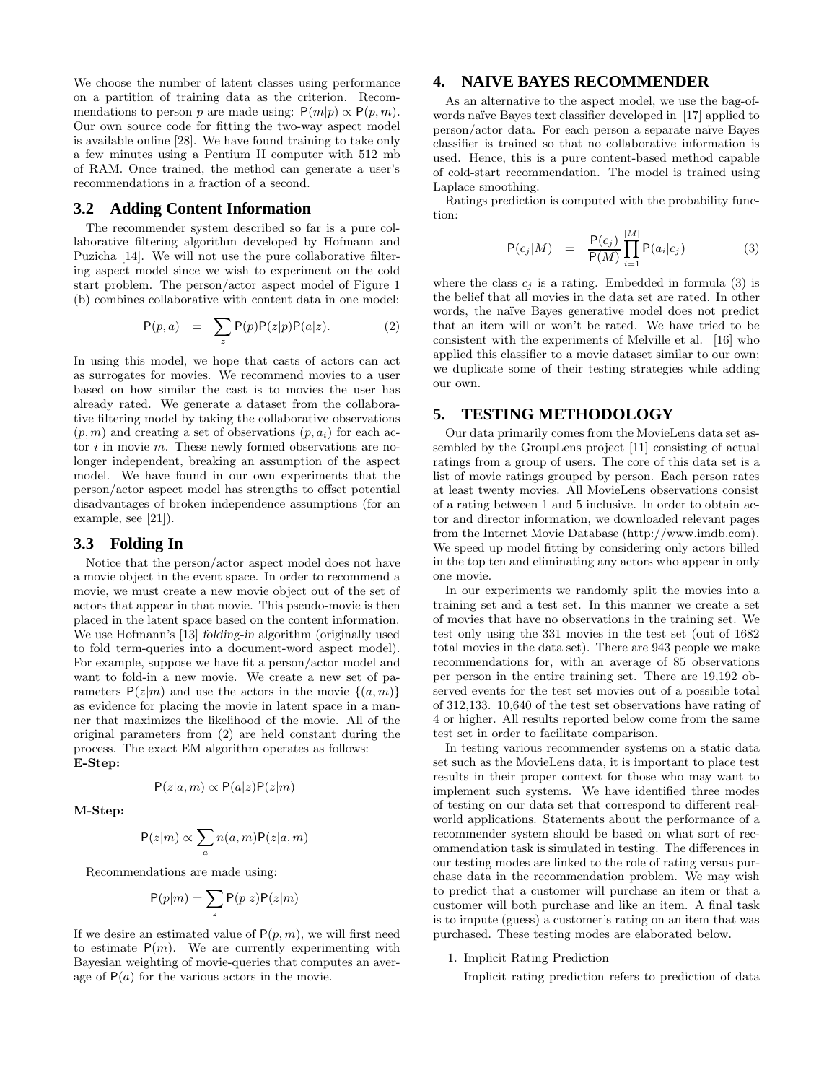We choose the number of latent classes using performance on a partition of training data as the criterion. Recommendations to person p are made using:  $P(m|p) \propto P(p,m)$ . Our own source code for fitting the two-way aspect model is available online [28]. We have found training to take only a few minutes using a Pentium II computer with 512 mb of RAM. Once trained, the method can generate a user's recommendations in a fraction of a second.

### **3.2 Adding Content Information**

The recommender system described so far is a pure collaborative filtering algorithm developed by Hofmann and Puzicha [14]. We will not use the pure collaborative filtering aspect model since we wish to experiment on the cold start problem. The person/actor aspect model of Figure 1 (b) combines collaborative with content data in one model:

$$
P(p,a) = \sum_{z} P(p)P(z|p)P(a|z). \qquad (2)
$$

In using this model, we hope that casts of actors can act as surrogates for movies. We recommend movies to a user based on how similar the cast is to movies the user has already rated. We generate a dataset from the collaborative filtering model by taking the collaborative observations  $(p, m)$  and creating a set of observations  $(p, a_i)$  for each actor  $i$  in movie  $m$ . These newly formed observations are nolonger independent, breaking an assumption of the aspect model. We have found in our own experiments that the person/actor aspect model has strengths to offset potential disadvantages of broken independence assumptions (for an example, see [21]).

### **3.3 Folding In**

Notice that the person/actor aspect model does not have a movie object in the event space. In order to recommend a movie, we must create a new movie object out of the set of actors that appear in that movie. This pseudo-movie is then placed in the latent space based on the content information. We use Hofmann's [13] *folding-in* algorithm (originally used to fold term-queries into a document-word aspect model). For example, suppose we have fit a person/actor model and want to fold-in a new movie. We create a new set of parameters  $P(z|m)$  and use the actors in the movie  $\{(a, m)\}$ as evidence for placing the movie in latent space in a manner that maximizes the likelihood of the movie. All of the original parameters from (2) are held constant during the process. The exact EM algorithm operates as follows: **E-Step:**

 $P(z|a,m) \propto P(a|z)P(z|m)$ 

**M-Step:**

$$
P(z|m) \propto \sum_{a} n(a,m)P(z|a,m)
$$

Recommendations are made using:

$$
P(p|m) = \sum_{z} P(p|z)P(z|m)
$$

If we desire an estimated value of  $P(p, m)$ , we will first need to estimate  $P(m)$ . We are currently experimenting with Bayesian weighting of movie-queries that computes an average of  $P(a)$  for the various actors in the movie.

### **4. NAIVE BAYES RECOMMENDER**

As an alternative to the aspect model, we use the bag-ofwords naïve Bayes text classifier developed in [17] applied to person/actor data. For each person a separate naïve Bayes classifier is trained so that no collaborative information is used. Hence, this is a pure content-based method capable of cold-start recommendation. The model is trained using Laplace smoothing.

Ratings prediction is computed with the probability function:

$$
\mathsf{P}(c_j|M) = \frac{\mathsf{P}(c_j)}{\mathsf{P}(M)} \prod_{i=1}^{|M|} \mathsf{P}(a_i|c_j) \tag{3}
$$

where the class  $c_j$  is a rating. Embedded in formula (3) is the belief that all movies in the data set are rated. In other words, the naïve Bayes generative model does not predict that an item will or won't be rated. We have tried to be consistent with the experiments of Melville et al. [16] who applied this classifier to a movie dataset similar to our own; we duplicate some of their testing strategies while adding our own.

### **5. TESTING METHODOLOGY**

Our data primarily comes from the MovieLens data set assembled by the GroupLens project [11] consisting of actual ratings from a group of users. The core of this data set is a list of movie ratings grouped by person. Each person rates at least twenty movies. All MovieLens observations consist of a rating between 1 and 5 inclusive. In order to obtain actor and director information, we downloaded relevant pages from the Internet Movie Database (http://www.imdb.com). We speed up model fitting by considering only actors billed in the top ten and eliminating any actors who appear in only one movie.

In our experiments we randomly split the movies into a training set and a test set. In this manner we create a set of movies that have no observations in the training set. We test only using the 331 movies in the test set (out of 1682 total movies in the data set). There are 943 people we make recommendations for, with an average of 85 observations per person in the entire training set. There are 19,192 observed events for the test set movies out of a possible total of 312,133. 10,640 of the test set observations have rating of 4 or higher. All results reported below come from the same test set in order to facilitate comparison.

In testing various recommender systems on a static data set such as the MovieLens data, it is important to place test results in their proper context for those who may want to implement such systems. We have identified three modes of testing on our data set that correspond to different realworld applications. Statements about the performance of a recommender system should be based on what sort of recommendation task is simulated in testing. The differences in our testing modes are linked to the role of rating versus purchase data in the recommendation problem. We may wish to predict that a customer will purchase an item or that a customer will both purchase and like an item. A final task is to impute (guess) a customer's rating on an item that was purchased. These testing modes are elaborated below.

#### 1. Implicit Rating Prediction

Implicit rating prediction refers to prediction of data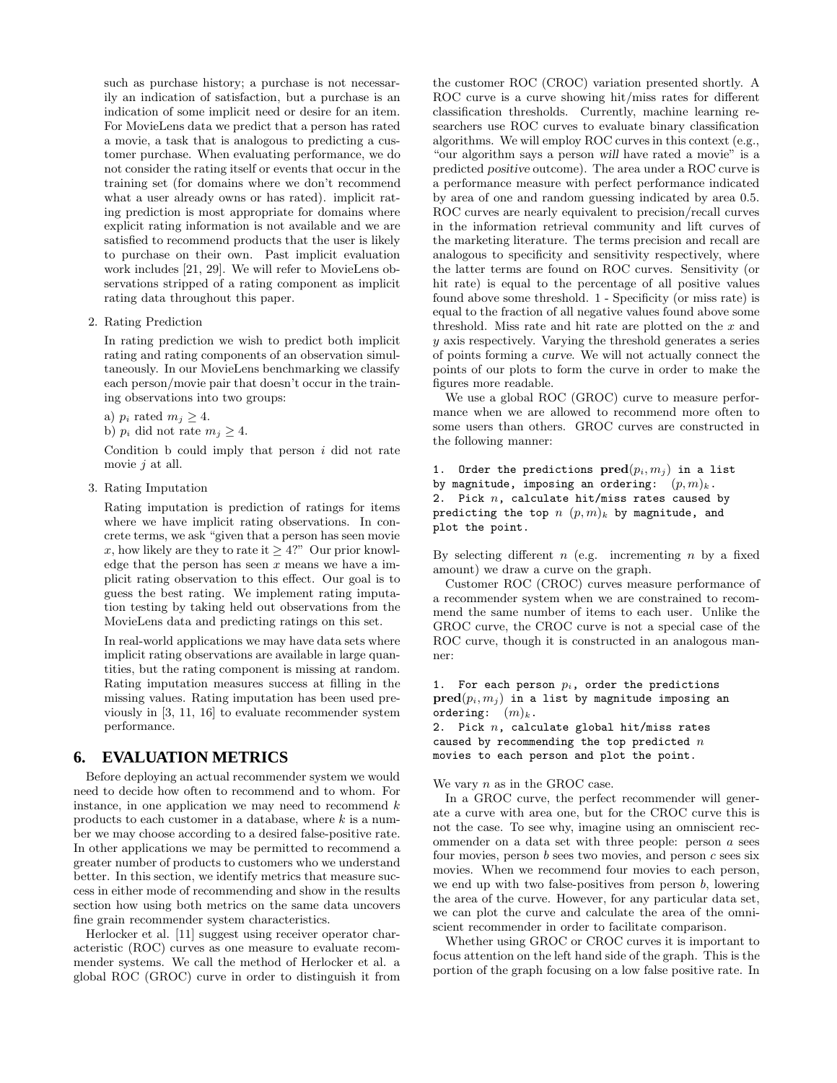such as purchase history; a purchase is not necessarily an indication of satisfaction, but a purchase is an indication of some implicit need or desire for an item. For MovieLens data we predict that a person has rated a movie, a task that is analogous to predicting a customer purchase. When evaluating performance, we do not consider the rating itself or events that occur in the training set (for domains where we don't recommend what a user already owns or has rated). implicit rating prediction is most appropriate for domains where explicit rating information is not available and we are satisfied to recommend products that the user is likely to purchase on their own. Past implicit evaluation work includes [21, 29]. We will refer to MovieLens observations stripped of a rating component as implicit rating data throughout this paper.

2. Rating Prediction

In rating prediction we wish to predict both implicit rating and rating components of an observation simultaneously. In our MovieLens benchmarking we classify each person/movie pair that doesn't occur in the training observations into two groups:

a)  $p_i$  rated  $m_j \geq 4$ .

b)  $p_i$  did not rate  $m_i \geq 4$ .

Condition  $b$  could imply that person  $i$  did not rate movie *j* at all.

3. Rating Imputation

Rating imputation is prediction of ratings for items where we have implicit rating observations. In concrete terms, we ask "given that a person has seen movie x, how likely are they to rate it  $\geq 4$ ?" Our prior knowledge that the person has seen  $x$  means we have a implicit rating observation to this effect. Our goal is to guess the best rating. We implement rating imputation testing by taking held out observations from the MovieLens data and predicting ratings on this set.

In real-world applications we may have data sets where implicit rating observations are available in large quantities, but the rating component is missing at random. Rating imputation measures success at filling in the missing values. Rating imputation has been used previously in [3, 11, 16] to evaluate recommender system performance.

### **6. EVALUATION METRICS**

Before deploying an actual recommender system we would need to decide how often to recommend and to whom. For instance, in one application we may need to recommend  $k$ products to each customer in a database, where  $k$  is a number we may choose according to a desired false-positive rate. In other applications we may be permitted to recommend a greater number of products to customers who we understand better. In this section, we identify metrics that measure success in either mode of recommending and show in the results section how using both metrics on the same data uncovers fine grain recommender system characteristics.

Herlocker et al. [11] suggest using receiver operator characteristic (ROC) curves as one measure to evaluate recommender systems. We call the method of Herlocker et al. a global ROC (GROC) curve in order to distinguish it from

the customer ROC (CROC) variation presented shortly. A ROC curve is a curve showing hit/miss rates for different classification thresholds. Currently, machine learning researchers use ROC curves to evaluate binary classification algorithms. We will employ ROC curves in this context (e.g., "our algorithm says a person *will* have rated a movie" is a predicted *positive* outcome). The area under a ROC curve is a performance measure with perfect performance indicated by area of one and random guessing indicated by area 0.5. ROC curves are nearly equivalent to precision/recall curves in the information retrieval community and lift curves of the marketing literature. The terms precision and recall are analogous to specificity and sensitivity respectively, where the latter terms are found on ROC curves. Sensitivity (or hit rate) is equal to the percentage of all positive values found above some threshold. 1 - Specificity (or miss rate) is equal to the fraction of all negative values found above some threshold. Miss rate and hit rate are plotted on the  $x$  and y axis respectively. Varying the threshold generates a series of points forming a *curve*. We will not actually connect the points of our plots to form the curve in order to make the figures more readable.

We use a global ROC (GROC) curve to measure performance when we are allowed to recommend more often to some users than others. GROC curves are constructed in the following manner:

1. Order the predictions  $pred(p_i, m_j)$  in a list by magnitude, imposing an ordering:  $(p, m)_k$ . 2. Pick  $n$ , calculate hit/miss rates caused by predicting the top  $n (p, m)_k$  by magnitude, and plot the point.

By selecting different  $n$  (e.g. incrementing  $n$  by a fixed amount) we draw a curve on the graph.

Customer ROC (CROC) curves measure performance of a recommender system when we are constrained to recommend the same number of items to each user. Unlike the GROC curve, the CROC curve is not a special case of the ROC curve, though it is constructed in an analogous manner:

#### 1. For each person  $p_i$ , order the predictions  $pred(p_i, m_j)$  in a list by magnitude imposing an ordering:  $(m)_k$ .

2. Pick  $n$ , calculate global hit/miss rates caused by recommending the top predicted  $n$ movies to each person and plot the point.

We vary  $n$  as in the GROC case.

In a GROC curve, the perfect recommender will generate a curve with area one, but for the CROC curve this is not the case. To see why, imagine using an omniscient recommender on a data set with three people: person  $a$  sees four movies, person  $b$  sees two movies, and person  $c$  sees six movies. When we recommend four movies to each person, we end up with two false-positives from person  $b$ , lowering the area of the curve. However, for any particular data set, we can plot the curve and calculate the area of the omniscient recommender in order to facilitate comparison.

Whether using GROC or CROC curves it is important to focus attention on the left hand side of the graph. This is the portion of the graph focusing on a low false positive rate. In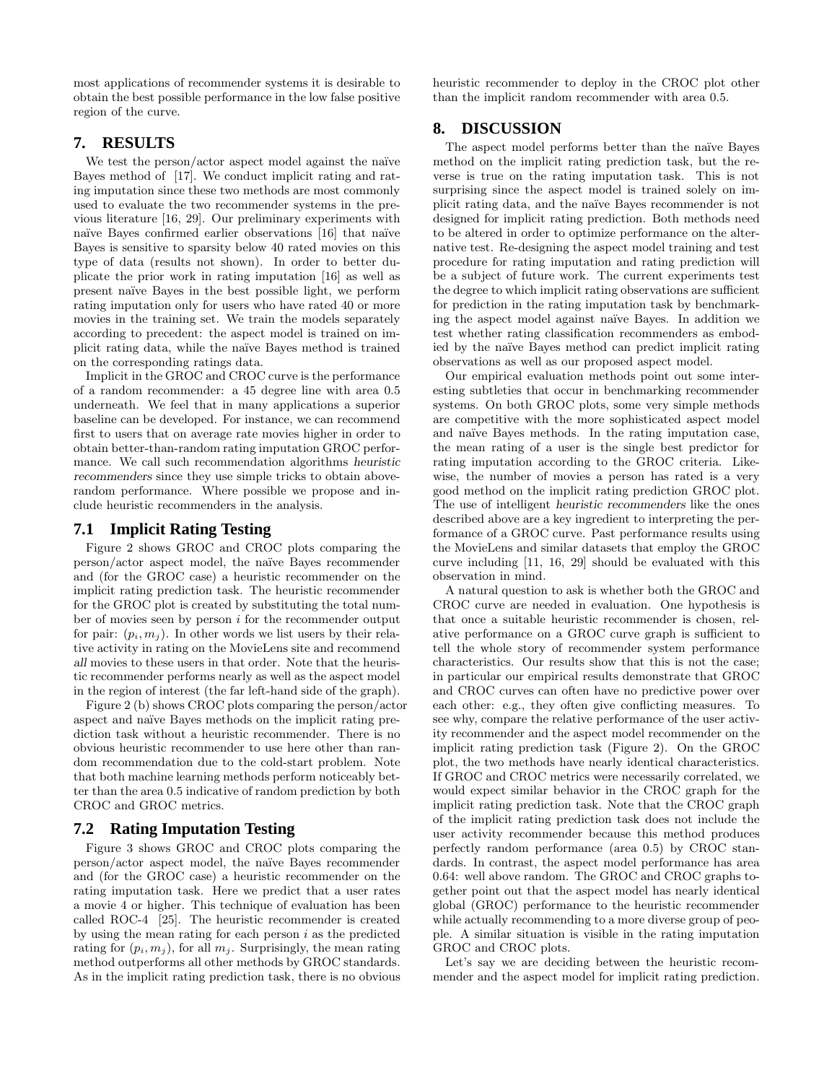most applications of recommender systems it is desirable to obtain the best possible performance in the low false positive region of the curve.

### **7. RESULTS**

We test the person/actor aspect model against the naïve Bayes method of [17]. We conduct implicit rating and rating imputation since these two methods are most commonly used to evaluate the two recommender systems in the previous literature [16, 29]. Our preliminary experiments with naïve Bayes confirmed earlier observations [16] that naïve Bayes is sensitive to sparsity below 40 rated movies on this type of data (results not shown). In order to better duplicate the prior work in rating imputation [16] as well as present na¨ıve Bayes in the best possible light, we perform rating imputation only for users who have rated 40 or more movies in the training set. We train the models separately according to precedent: the aspect model is trained on implicit rating data, while the na¨ıve Bayes method is trained on the corresponding ratings data.

Implicit in the GROC and CROC curve is the performance of a random recommender: a 45 degree line with area 0.5 underneath. We feel that in many applications a superior baseline can be developed. For instance, we can recommend first to users that on average rate movies higher in order to obtain better-than-random rating imputation GROC performance. We call such recommendation algorithms *heuristic recommenders* since they use simple tricks to obtain aboverandom performance. Where possible we propose and include heuristic recommenders in the analysis.

### **7.1 Implicit Rating Testing**

Figure 2 shows GROC and CROC plots comparing the person/actor aspect model, the na¨ıve Bayes recommender and (for the GROC case) a heuristic recommender on the implicit rating prediction task. The heuristic recommender for the GROC plot is created by substituting the total number of movies seen by person i for the recommender output for pair:  $(p_i, m_j)$ . In other words we list users by their relative activity in rating on the MovieLens site and recommend *all* movies to these users in that order. Note that the heuristic recommender performs nearly as well as the aspect model in the region of interest (the far left-hand side of the graph).

Figure 2 (b) shows CROC plots comparing the person/actor aspect and naïve Bayes methods on the implicit rating prediction task without a heuristic recommender. There is no obvious heuristic recommender to use here other than random recommendation due to the cold-start problem. Note that both machine learning methods perform noticeably better than the area 0.5 indicative of random prediction by both CROC and GROC metrics.

### **7.2 Rating Imputation Testing**

Figure 3 shows GROC and CROC plots comparing the person/actor aspect model, the na¨ıve Bayes recommender and (for the GROC case) a heuristic recommender on the rating imputation task. Here we predict that a user rates a movie 4 or higher. This technique of evaluation has been called ROC-4 [25]. The heuristic recommender is created by using the mean rating for each person  $i$  as the predicted rating for  $(p_i, m_j)$ , for all  $m_j$ . Surprisingly, the mean rating method outperforms all other methods by GROC standards. As in the implicit rating prediction task, there is no obvious

heuristic recommender to deploy in the CROC plot other than the implicit random recommender with area 0.5.

### **8. DISCUSSION**

The aspect model performs better than the naïve Bayes method on the implicit rating prediction task, but the reverse is true on the rating imputation task. This is not surprising since the aspect model is trained solely on implicit rating data, and the na¨ıve Bayes recommender is not designed for implicit rating prediction. Both methods need to be altered in order to optimize performance on the alternative test. Re-designing the aspect model training and test procedure for rating imputation and rating prediction will be a subject of future work. The current experiments test the degree to which implicit rating observations are sufficient for prediction in the rating imputation task by benchmarking the aspect model against naïve Bayes. In addition we test whether rating classification recommenders as embodied by the naïve Bayes method can predict implicit rating observations as well as our proposed aspect model.

Our empirical evaluation methods point out some interesting subtleties that occur in benchmarking recommender systems. On both GROC plots, some very simple methods are competitive with the more sophisticated aspect model and naïve Bayes methods. In the rating imputation case, the mean rating of a user is the single best predictor for rating imputation according to the GROC criteria. Likewise, the number of movies a person has rated is a very good method on the implicit rating prediction GROC plot. The use of intelligent *heuristic recommenders* like the ones described above are a key ingredient to interpreting the performance of a GROC curve. Past performance results using the MovieLens and similar datasets that employ the GROC curve including [11, 16, 29] should be evaluated with this observation in mind.

A natural question to ask is whether both the GROC and CROC curve are needed in evaluation. One hypothesis is that once a suitable heuristic recommender is chosen, relative performance on a GROC curve graph is sufficient to tell the whole story of recommender system performance characteristics. Our results show that this is not the case; in particular our empirical results demonstrate that GROC and CROC curves can often have no predictive power over each other: e.g., they often give conflicting measures. To see why, compare the relative performance of the user activity recommender and the aspect model recommender on the implicit rating prediction task (Figure 2). On the GROC plot, the two methods have nearly identical characteristics. If GROC and CROC metrics were necessarily correlated, we would expect similar behavior in the CROC graph for the implicit rating prediction task. Note that the CROC graph of the implicit rating prediction task does not include the user activity recommender because this method produces perfectly random performance (area 0.5) by CROC standards. In contrast, the aspect model performance has area 0.64: well above random. The GROC and CROC graphs together point out that the aspect model has nearly identical global (GROC) performance to the heuristic recommender while actually recommending to a more diverse group of people. A similar situation is visible in the rating imputation GROC and CROC plots.

Let's say we are deciding between the heuristic recommender and the aspect model for implicit rating prediction.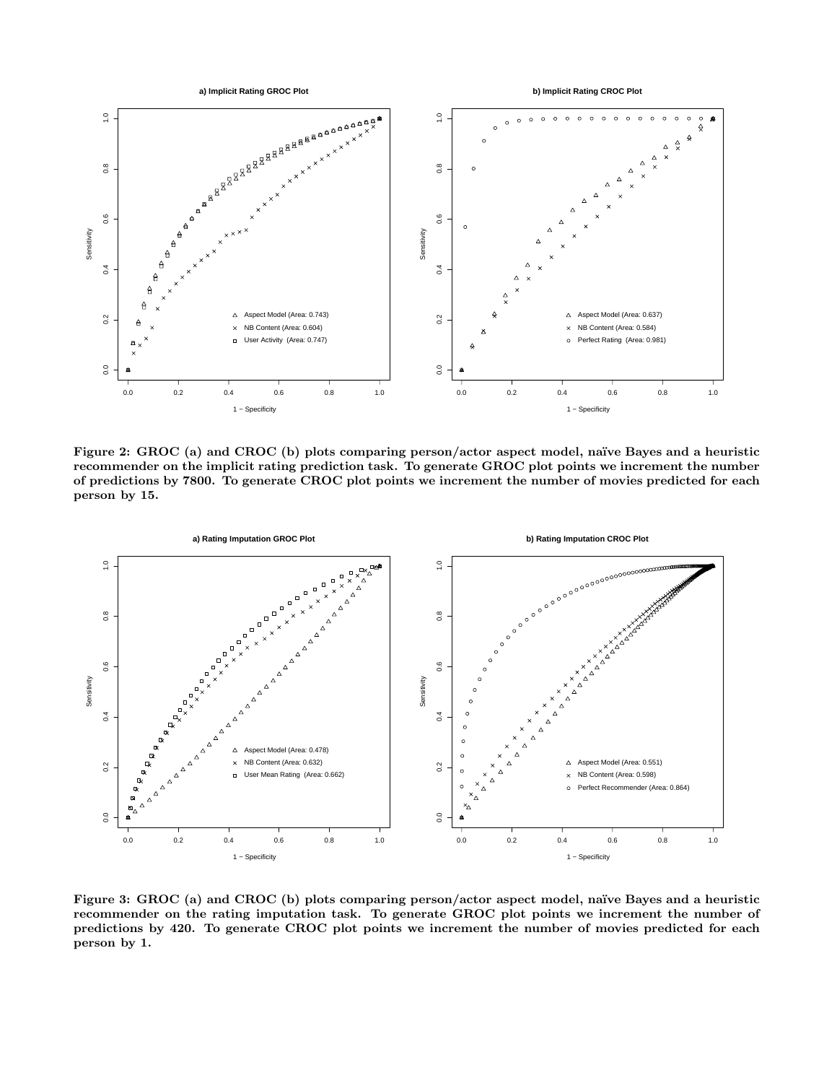

Figure 2: GROC (a) and CROC (b) plots comparing person/actor aspect model, naïve Bayes and a heuristic **recommender on the implicit rating prediction task. To generate GROC plot points we increment the number of predictions by 7800. To generate CROC plot points we increment the number of movies predicted for each person by 15.**



**Figure 3: GROC (a) and CROC (b) plots comparing person/actor aspect model, na¨ıve Bayes and a heuristic recommender on the rating imputation task. To generate GROC plot points we increment the number of predictions by 420. To generate CROC plot points we increment the number of movies predicted for each person by 1.**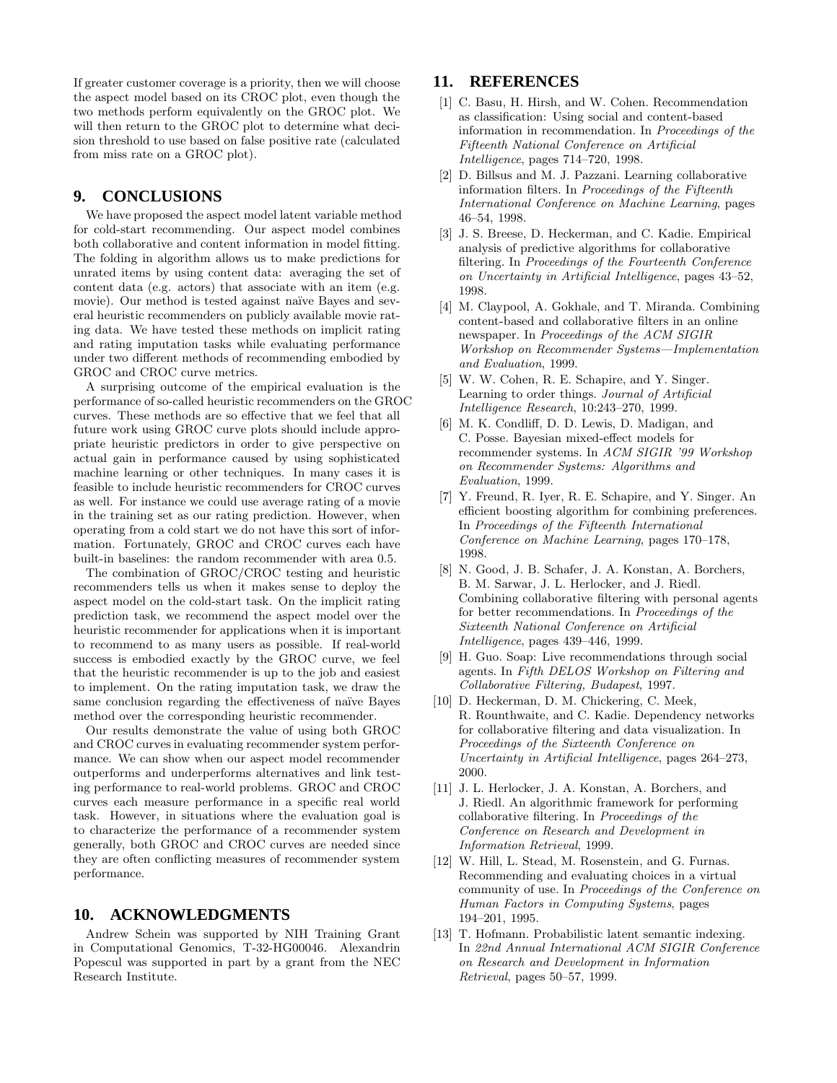If greater customer coverage is a priority, then we will choose the aspect model based on its CROC plot, even though the two methods perform equivalently on the GROC plot. We will then return to the GROC plot to determine what decision threshold to use based on false positive rate (calculated from miss rate on a GROC plot).

### **9. CONCLUSIONS**

We have proposed the aspect model latent variable method for cold-start recommending. Our aspect model combines both collaborative and content information in model fitting. The folding in algorithm allows us to make predictions for unrated items by using content data: averaging the set of content data (e.g. actors) that associate with an item (e.g. movie). Our method is tested against naïve Bayes and several heuristic recommenders on publicly available movie rating data. We have tested these methods on implicit rating and rating imputation tasks while evaluating performance under two different methods of recommending embodied by GROC and CROC curve metrics.

A surprising outcome of the empirical evaluation is the performance of so-called heuristic recommenders on the GROC curves. These methods are so effective that we feel that all future work using GROC curve plots should include appropriate heuristic predictors in order to give perspective on actual gain in performance caused by using sophisticated machine learning or other techniques. In many cases it is feasible to include heuristic recommenders for CROC curves as well. For instance we could use average rating of a movie in the training set as our rating prediction. However, when operating from a cold start we do not have this sort of information. Fortunately, GROC and CROC curves each have built-in baselines: the random recommender with area 0.5.

The combination of GROC/CROC testing and heuristic recommenders tells us when it makes sense to deploy the aspect model on the cold-start task. On the implicit rating prediction task, we recommend the aspect model over the heuristic recommender for applications when it is important to recommend to as many users as possible. If real-world success is embodied exactly by the GROC curve, we feel that the heuristic recommender is up to the job and easiest to implement. On the rating imputation task, we draw the same conclusion regarding the effectiveness of naïve Bayes method over the corresponding heuristic recommender.

Our results demonstrate the value of using both GROC and CROC curves in evaluating recommender system performance. We can show when our aspect model recommender outperforms and underperforms alternatives and link testing performance to real-world problems. GROC and CROC curves each measure performance in a specific real world task. However, in situations where the evaluation goal is to characterize the performance of a recommender system generally, both GROC and CROC curves are needed since they are often conflicting measures of recommender system performance.

### **10. ACKNOWLEDGMENTS**

Andrew Schein was supported by NIH Training Grant in Computational Genomics, T-32-HG00046. Alexandrin Popescul was supported in part by a grant from the NEC Research Institute.

### **11. REFERENCES**

- [1] C. Basu, H. Hirsh, and W. Cohen. Recommendation as classification: Using social and content-based information in recommendation. In Proceedings of the Fifteenth National Conference on Artificial Intelligence, pages 714–720, 1998.
- [2] D. Billsus and M. J. Pazzani. Learning collaborative information filters. In Proceedings of the Fifteenth International Conference on Machine Learning, pages 46–54, 1998.
- [3] J. S. Breese, D. Heckerman, and C. Kadie. Empirical analysis of predictive algorithms for collaborative filtering. In Proceedings of the Fourteenth Conference on Uncertainty in Artificial Intelligence, pages 43–52, 1998.
- [4] M. Claypool, A. Gokhale, and T. Miranda. Combining content-based and collaborative filters in an online newspaper. In Proceedings of the ACM SIGIR Workshop on Recommender Systems—Implementation and Evaluation, 1999.
- [5] W. W. Cohen, R. E. Schapire, and Y. Singer. Learning to order things. Journal of Artificial Intelligence Research, 10:243–270, 1999.
- [6] M. K. Condliff, D. D. Lewis, D. Madigan, and C. Posse. Bayesian mixed-effect models for recommender systems. In ACM SIGIR '99 Workshop on Recommender Systems: Algorithms and Evaluation, 1999.
- [7] Y. Freund, R. Iyer, R. E. Schapire, and Y. Singer. An efficient boosting algorithm for combining preferences. In Proceedings of the Fifteenth International Conference on Machine Learning, pages 170–178, 1998.
- [8] N. Good, J. B. Schafer, J. A. Konstan, A. Borchers, B. M. Sarwar, J. L. Herlocker, and J. Riedl. Combining collaborative filtering with personal agents for better recommendations. In Proceedings of the Sixteenth National Conference on Artificial Intelligence, pages 439–446, 1999.
- [9] H. Guo. Soap: Live recommendations through social agents. In Fifth DELOS Workshop on Filtering and Collaborative Filtering, Budapest, 1997.
- [10] D. Heckerman, D. M. Chickering, C. Meek, R. Rounthwaite, and C. Kadie. Dependency networks for collaborative filtering and data visualization. In Proceedings of the Sixteenth Conference on Uncertainty in Artificial Intelligence, pages 264–273, 2000.
- [11] J. L. Herlocker, J. A. Konstan, A. Borchers, and J. Riedl. An algorithmic framework for performing collaborative filtering. In Proceedings of the Conference on Research and Development in Information Retrieval, 1999.
- [12] W. Hill, L. Stead, M. Rosenstein, and G. Furnas. Recommending and evaluating choices in a virtual community of use. In Proceedings of the Conference on Human Factors in Computing Systems, pages 194–201, 1995.
- [13] T. Hofmann. Probabilistic latent semantic indexing. In 22nd Annual International ACM SIGIR Conference on Research and Development in Information Retrieval, pages 50–57, 1999.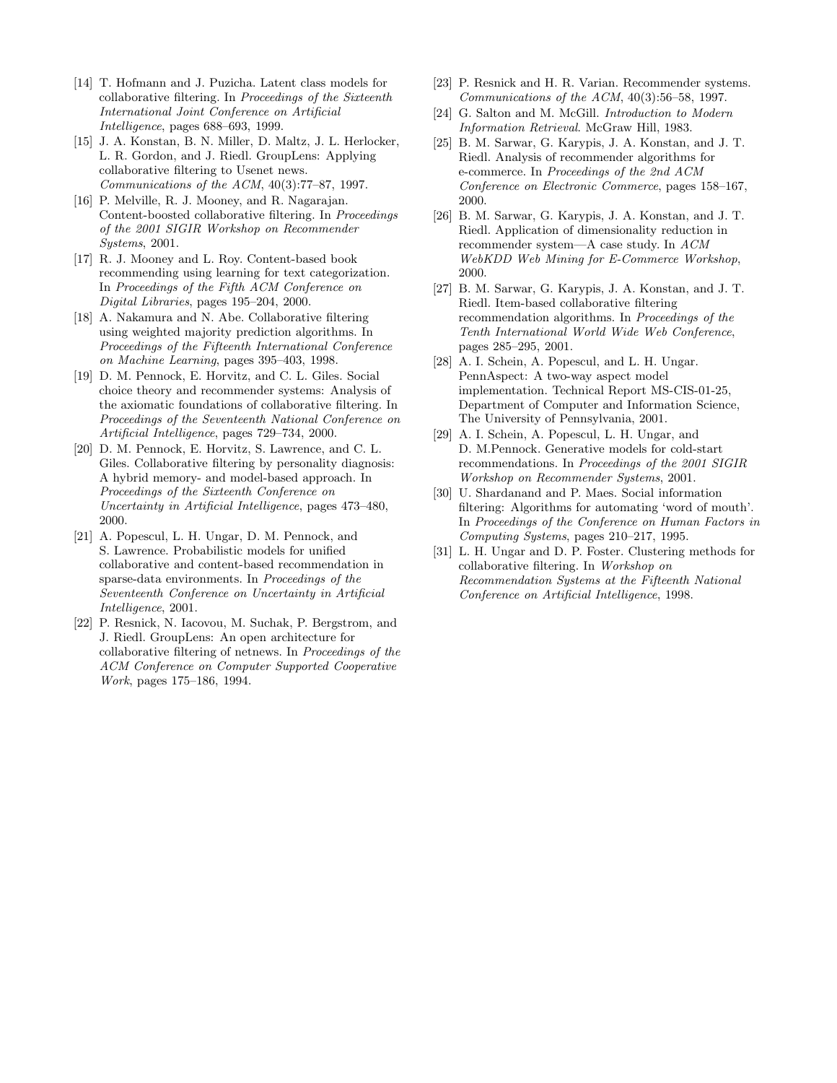- [14] T. Hofmann and J. Puzicha. Latent class models for collaborative filtering. In Proceedings of the Sixteenth International Joint Conference on Artificial Intelligence, pages 688–693, 1999.
- [15] J. A. Konstan, B. N. Miller, D. Maltz, J. L. Herlocker, L. R. Gordon, and J. Riedl. GroupLens: Applying collaborative filtering to Usenet news. Communications of the ACM, 40(3):77–87, 1997.
- [16] P. Melville, R. J. Mooney, and R. Nagarajan. Content-boosted collaborative filtering. In Proceedings of the 2001 SIGIR Workshop on Recommender Systems, 2001.
- [17] R. J. Mooney and L. Roy. Content-based book recommending using learning for text categorization. In Proceedings of the Fifth ACM Conference on Digital Libraries, pages 195–204, 2000.
- [18] A. Nakamura and N. Abe. Collaborative filtering using weighted majority prediction algorithms. In Proceedings of the Fifteenth International Conference on Machine Learning, pages 395–403, 1998.
- [19] D. M. Pennock, E. Horvitz, and C. L. Giles. Social choice theory and recommender systems: Analysis of the axiomatic foundations of collaborative filtering. In Proceedings of the Seventeenth National Conference on Artificial Intelligence, pages 729–734, 2000.
- [20] D. M. Pennock, E. Horvitz, S. Lawrence, and C. L. Giles. Collaborative filtering by personality diagnosis: A hybrid memory- and model-based approach. In Proceedings of the Sixteenth Conference on Uncertainty in Artificial Intelligence, pages 473–480, 2000.
- [21] A. Popescul, L. H. Ungar, D. M. Pennock, and S. Lawrence. Probabilistic models for unified collaborative and content-based recommendation in sparse-data environments. In Proceedings of the Seventeenth Conference on Uncertainty in Artificial Intelligence, 2001.
- [22] P. Resnick, N. Iacovou, M. Suchak, P. Bergstrom, and J. Riedl. GroupLens: An open architecture for collaborative filtering of netnews. In Proceedings of the ACM Conference on Computer Supported Cooperative Work, pages 175–186, 1994.
- [23] P. Resnick and H. R. Varian. Recommender systems. Communications of the ACM, 40(3):56–58, 1997.
- [24] G. Salton and M. McGill. Introduction to Modern Information Retrieval. McGraw Hill, 1983.
- [25] B. M. Sarwar, G. Karypis, J. A. Konstan, and J. T. Riedl. Analysis of recommender algorithms for e-commerce. In Proceedings of the 2nd ACM Conference on Electronic Commerce, pages 158–167, 2000.
- [26] B. M. Sarwar, G. Karypis, J. A. Konstan, and J. T. Riedl. Application of dimensionality reduction in recommender system—A case study. In ACM WebKDD Web Mining for E-Commerce Workshop, 2000.
- [27] B. M. Sarwar, G. Karypis, J. A. Konstan, and J. T. Riedl. Item-based collaborative filtering recommendation algorithms. In Proceedings of the Tenth International World Wide Web Conference, pages 285–295, 2001.
- [28] A. I. Schein, A. Popescul, and L. H. Ungar. PennAspect: A two-way aspect model implementation. Technical Report MS-CIS-01-25, Department of Computer and Information Science, The University of Pennsylvania, 2001.
- [29] A. I. Schein, A. Popescul, L. H. Ungar, and D. M.Pennock. Generative models for cold-start recommendations. In Proceedings of the 2001 SIGIR Workshop on Recommender Systems, 2001.
- [30] U. Shardanand and P. Maes. Social information filtering: Algorithms for automating 'word of mouth'. In Proceedings of the Conference on Human Factors in Computing Systems, pages 210–217, 1995.
- [31] L. H. Ungar and D. P. Foster. Clustering methods for collaborative filtering. In Workshop on Recommendation Systems at the Fifteenth National Conference on Artificial Intelligence, 1998.